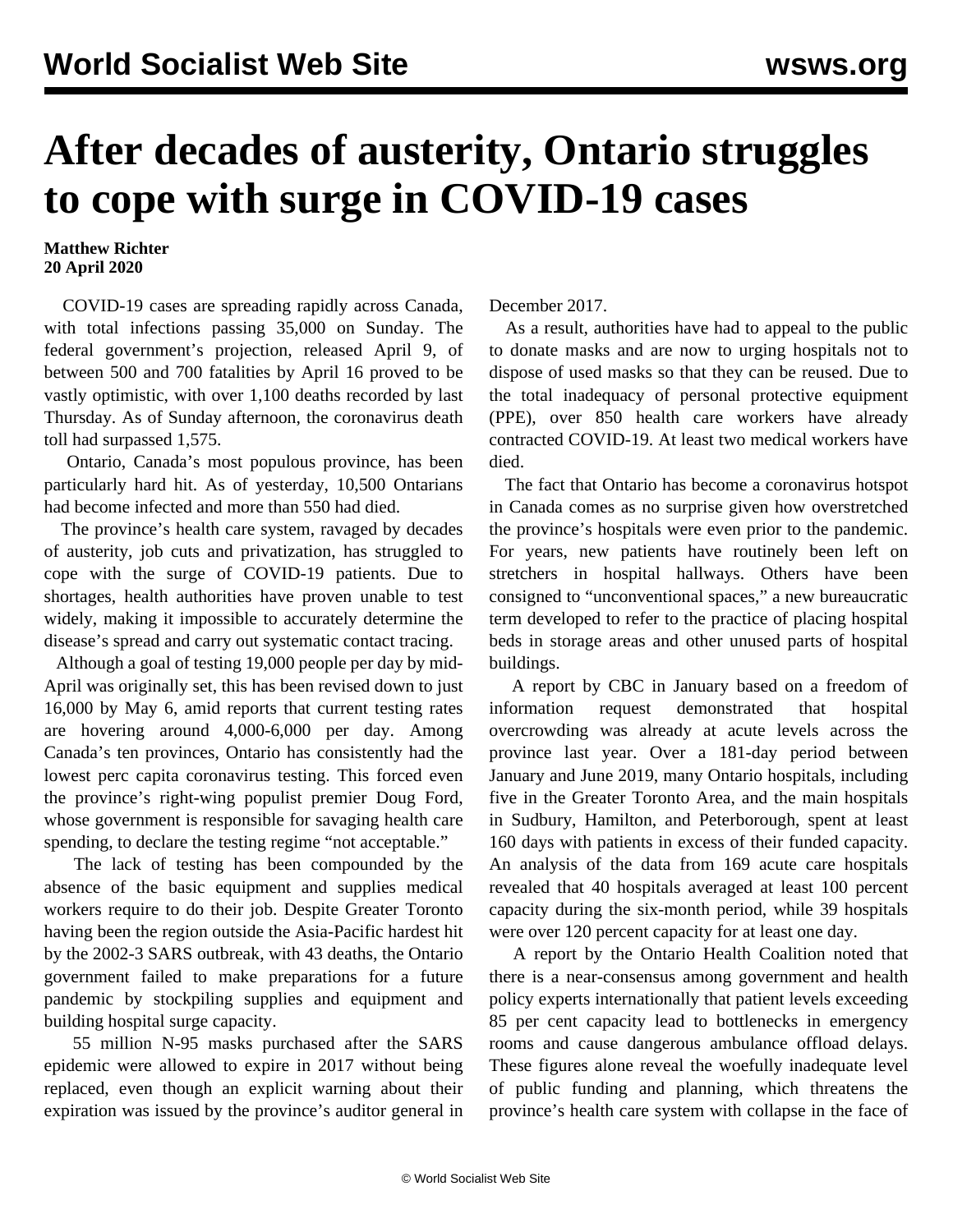## **After decades of austerity, Ontario struggles to cope with surge in COVID-19 cases**

## **Matthew Richter 20 April 2020**

 COVID-19 cases are spreading rapidly across Canada, with total infections passing 35,000 on Sunday. The federal government's projection, released April 9, of between 500 and 700 fatalities by April 16 proved to be vastly optimistic, with over 1,100 deaths recorded by last Thursday. As of Sunday afternoon, the coronavirus death toll had surpassed 1,575.

 Ontario, Canada's most populous province, has been particularly hard hit. As of yesterday, 10,500 Ontarians had become infected and more than 550 had died.

 The province's health care system, ravaged by decades of austerity, job cuts and privatization, has struggled to cope with the surge of COVID-19 patients. Due to shortages, health authorities have proven unable to test widely, making it impossible to accurately determine the disease's spread and carry out systematic contact tracing.

 Although a goal of testing 19,000 people per day by mid-April was originally set, this has been revised down to just 16,000 by May 6, amid reports that current testing rates are hovering around 4,000-6,000 per day. Among Canada's ten provinces, Ontario has consistently had the lowest perc capita coronavirus testing. This forced even the province's right-wing populist premier Doug Ford, whose government is responsible for savaging health care spending, to declare the testing regime "not acceptable."

 The lack of testing has been compounded by the absence of the basic equipment and supplies medical workers require to do their job. Despite Greater Toronto having been the region outside the Asia-Pacific hardest hit by the 2002-3 SARS outbreak, with 43 deaths, the Ontario government failed to make preparations for a future pandemic by stockpiling supplies and equipment and building hospital surge capacity.

 55 million N-95 masks purchased after the SARS epidemic were allowed to expire in 2017 without being replaced, even though an explicit warning about their expiration was issued by the province's auditor general in December 2017.

 As a result, authorities have had to appeal to the public to donate masks and are now to urging hospitals not to dispose of used masks so that they can be reused. Due to the total inadequacy of personal protective equipment (PPE), over 850 health care workers have already contracted COVID-19. At least two medical workers have died.

 The fact that Ontario has become a coronavirus hotspot in Canada comes as no surprise given how overstretched the province's hospitals were even prior to the pandemic. For years, new patients have routinely been left on stretchers in hospital hallways. Others have been consigned to "unconventional spaces," a new bureaucratic term developed to refer to the practice of placing hospital beds in storage areas and other unused parts of hospital buildings.

 A report by CBC in January based on a freedom of information request demonstrated that hospital overcrowding was already at acute levels across the province last year. Over a 181-day period between January and June 2019, many Ontario hospitals, including five in the Greater Toronto Area, and the main hospitals in Sudbury, Hamilton, and Peterborough, spent at least 160 days with patients in excess of their funded capacity. An analysis of the data from 169 acute care hospitals revealed that 40 hospitals averaged at least 100 percent capacity during the six-month period, while 39 hospitals were over 120 percent capacity for at least one day.

 A report by the Ontario Health Coalition noted that there is a near-consensus among government and health policy experts internationally that patient levels exceeding 85 per cent capacity lead to bottlenecks in emergency rooms and cause dangerous ambulance offload delays. These figures alone reveal the woefully inadequate level of public funding and planning, which threatens the province's health care system with collapse in the face of